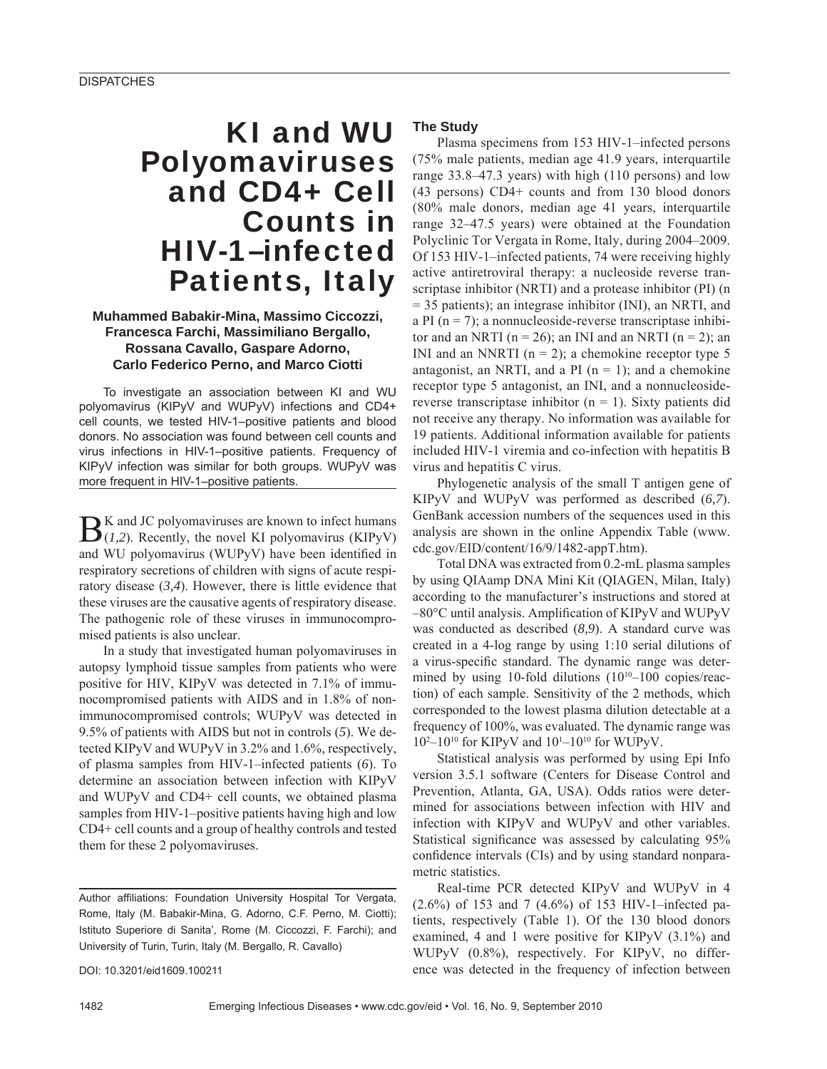# KI and WU Polyomaviruses and CD4+ Cell Counts in HIV-1–infected Patients, Italy

## **Muhammed Babakir-Mina, Massimo Ciccozzi, Francesca Farchi, Massimiliano Bergallo, Rossana Cavallo, Gaspare Adorno, Carlo Federico Perno, and Marco Ciotti**

To investigate an association between KI and WU polyomavirus (KIPyV and WUPyV) infections and CD4+ cell counts, we tested HIV-1–positive patients and blood donors. No association was found between cell counts and virus infections in HIV-1–positive patients. Frequency of KIPyV infection was similar for both groups. WUPyV was more frequent in HIV-1–positive patients.

BK and JC polyomaviruses are known to infect humans (*I,1,2*). Recently, the novel KI polyomavirus (*KIPyV*) and WU polyomavirus (WUPyV) have been identified in respiratory secretions of children with signs of acute respiratory disease (*3,4*). However, there is little evidence that these viruses are the causative agents of respiratory disease. The pathogenic role of these viruses in immunocompromised patients is also unclear.

In a study that investigated human polyomaviruses in autopsy lymphoid tissue samples from patients who were positive for HIV, KIPyV was detected in 7.1% of immunocompromised patients with AIDS and in 1.8% of nonimmunocompromised controls; WUPyV was detected in 9.5% of patients with AIDS but not in controls (*5*). We detected KIPyV and WUPyV in 3.2% and 1.6%, respectively, of plasma samples from HIV-1–infected patients (*6*). To determine an association between infection with KIPyV and WUPyV and CD4+ cell counts, we obtained plasma samples from HIV-1–positive patients having high and low CD4+ cell counts and a group of healthy controls and tested them for these 2 polyomaviruses.

Author affiliations: Foundation University Hospital Tor Vergata, Rome, Italy (M. Babakir-Mina, G. Adorno, C.F. Perno, M. Ciotti); Istituto Superiore di Sanita', Rome (M. Ciccozzi, F. Farchi); and University of Turin, Turin, Italy (M. Bergallo, R. Cavallo)

DOI: 10.3201/eid1609.100211

#### **The Study**

Plasma specimens from 153 HIV-1–infected persons (75% male patients, median age 41.9 years, interquartile range 33.8–47.3 years) with high (110 persons) and low (43 persons) CD4+ counts and from 130 blood donors (80% male donors, median age 41 years, interquartile range 32–47.5 years) were obtained at the Foundation Polyclinic Tor Vergata in Rome, Italy, during 2004–2009. Of 153 HIV-1–infected patients, 74 were receiving highly active antiretroviral therapy: a nucleoside reverse transcriptase inhibitor (NRTI) and a protease inhibitor (PI) (n = 35 patients); an integrase inhibitor (INI), an NRTI, and a PI  $(n = 7)$ ; a nonnucleoside-reverse transcriptase inhibitor and an NRTI ( $n = 26$ ); an INI and an NRTI ( $n = 2$ ); an INI and an NNRTI ( $n = 2$ ); a chemokine receptor type 5 antagonist, an NRTI, and a PI  $(n = 1)$ ; and a chemokine receptor type 5 antagonist, an INI, and a nonnucleosidereverse transcriptase inhibitor ( $n = 1$ ). Sixty patients did not receive any therapy. No information was available for 19 patients. Additional information available for patients included HIV-1 viremia and co-infection with hepatitis B virus and hepatitis C virus.

Phylogenetic analysis of the small T antigen gene of KIPyV and WUPyV was performed as described (*6,7*). GenBank accession numbers of the sequences used in this analysis are shown in the online Appendix Table (www. cdc.gov/EID/content/16/9/1482-appT.htm).

Total DNA was extracted from 0.2-mL plasma samples by using QIAamp DNA Mini Kit (QIAGEN, Milan, Italy) according to the manufacturer's instructions and stored at  $-80^{\circ}$ C until analysis. Amplification of KIPyV and WUPyV was conducted as described (*8,9*). A standard curve was created in a 4-log range by using 1:10 serial dilutions of a virus-specific standard. The dynamic range was determined by using 10-fold dilutions  $(10^{10}-100)$  copies/reaction) of each sample. Sensitivity of the 2 methods, which corresponded to the lowest plasma dilution detectable at a frequency of 100%, was evaluated. The dynamic range was 102 –1010 for KIPyV and 101 –1010 for WUPyV.

Statistical analysis was performed by using Epi Info version 3.5.1 software (Centers for Disease Control and Prevention, Atlanta, GA, USA). Odds ratios were determined for associations between infection with HIV and infection with KIPyV and WUPyV and other variables. Statistical significance was assessed by calculating 95% confidence intervals (CIs) and by using standard nonparametric statistics.

Real-time PCR detected KIPyV and WUPyV in 4 (2.6%) of 153 and 7 (4.6%) of 153 HIV-1–infected patients, respectively (Table 1). Of the 130 blood donors examined, 4 and 1 were positive for KIPyV (3.1%) and WUPyV (0.8%), respectively. For KIPyV, no difference was detected in the frequency of infection between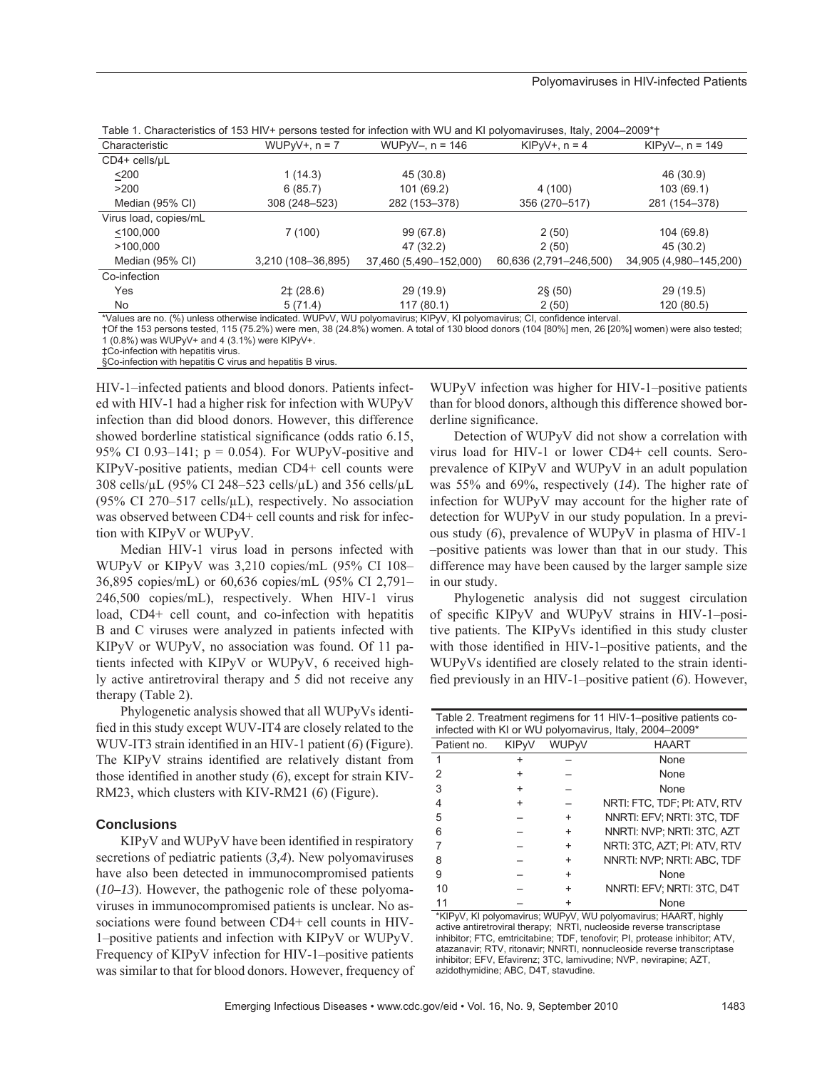|                       |                    | Table 1. Characteristics of 153 HTV+ persons tested for infection with VVU and KT polyomaviruses, Italy, 2004–2009 T    |                        |                        |
|-----------------------|--------------------|-------------------------------------------------------------------------------------------------------------------------|------------------------|------------------------|
| Characteristic        | $WUPvV+, n = 7$    | $WUPvV-, n = 146$                                                                                                       | $KIPvV+, n = 4$        | KIP $V - n = 149$      |
| $CD4+$ cells/ $\mu$ L |                    |                                                                                                                         |                        |                        |
| $200$                 | 1(14.3)            | 45 (30.8)                                                                                                               |                        | 46 (30.9)              |
| >200                  | 6(85.7)            | 101 (69.2)                                                                                                              | 4 (100)                | 103(69.1)              |
| Median (95% CI)       | 308 (248-523)      | 282 (153-378)                                                                                                           | 356 (270-517)          | 281 (154-378)          |
| Virus load, copies/mL |                    |                                                                                                                         |                        |                        |
| < 100,000             | 7(100)             | 99 (67.8)                                                                                                               | 2(50)                  | 104 (69.8)             |
| >100.000              |                    | 47 (32.2)                                                                                                               | 2(50)                  | 45 (30.2)              |
| Median (95% CI)       | 3,210 (108-36,895) | 37,460 (5,490-152,000)                                                                                                  | 60,636 (2,791-246,500) | 34,905 (4,980-145,200) |
| Co-infection          |                    |                                                                                                                         |                        |                        |
| Yes                   | $2\pm(28.6)$       | 29 (19.9)                                                                                                               | $2\frac{6}{3}$ (50)    | 29 (19.5)              |
| <b>No</b>             | 5(71.4)            | 117(80.1)                                                                                                               | 2(50)                  | 120 (80.5)             |
|                       |                    | *Values are no (%) unless otherwise indicated WIID: (VIII nolvomavirus: KID: V, KI nolvomavirus: CL confidence interval |                        |                        |

| Table 1. Characteristics of 153 HIV+ persons tested for infection with WU and KI polyomaviruses, Italy, 2004–2009*1 |
|---------------------------------------------------------------------------------------------------------------------|
|---------------------------------------------------------------------------------------------------------------------|

\*Values are no. (%) unless otherwise indicated. WUPvV, WU polyomavirus; KIPyV, KI polyomavirus; CI, confidence interval.

†Of the 153 persons tested, 115 (75.2%) were men, 38 (24.8%) women. A total of 130 blood donors (104 [80%] men, 26 [20%] women) were also tested; 1 (0.8%) was WUPyV+ and 4 (3.1%) were KIPyV+.

‡Co-infection with hepatitis virus.

§Co-infection with hepatitis C virus and hepatitis B virus.

HIV-1–infected patients and blood donors. Patients infected with HIV-1 had a higher risk for infection with WUPyV infection than did blood donors. However, this difference showed borderline statistical significance (odds ratio 6.15, 95% CI 0.93–141;  $p = 0.054$ ). For WUPyV-positive and KIPyV-positive patients, median CD4+ cell counts were 308 cells/μL (95% CI 248–523 cells/μL) and 356 cells/μL (95% CI 270–517 cells/ $\mu$ L), respectively. No association was observed between CD4+ cell counts and risk for infection with KIPyV or WUPyV.

Median HIV-1 virus load in persons infected with WUPyV or KIPyV was 3,210 copies/mL (95% CI 108– 36,895 copies/mL) or 60,636 copies/mL (95% CI 2,791– 246,500 copies/mL), respectively. When HIV-1 virus load, CD4+ cell count, and co-infection with hepatitis B and C viruses were analyzed in patients infected with KIPyV or WUPyV, no association was found. Of 11 patients infected with KIPyV or WUPyV, 6 received highly active antiretroviral therapy and 5 did not receive any therapy (Table 2).

Phylogenetic analysis showed that all WUPyVs identified in this study except WUV-IT4 are closely related to the WUV-IT3 strain identified in an HIV-1 patient (6) (Figure). The KIPyV strains identified are relatively distant from those identified in another study (6), except for strain KIV-RM23, which clusters with KIV-RM21 (*6*) (Figure).

## **Conclusions**

KIPyV and WUPyV have been identified in respiratory secretions of pediatric patients (*3,4*). New polyomaviruses have also been detected in immunocompromised patients (*10–13*). However, the pathogenic role of these polyomaviruses in immunocompromised patients is unclear. No associations were found between CD4+ cell counts in HIV-1–positive patients and infection with KIPyV or WUPyV. Frequency of KIPyV infection for HIV-1–positive patients was similar to that for blood donors. However, frequency of WUPyV infection was higher for HIV-1–positive patients than for blood donors, although this difference showed borderline significance.

Detection of WUPyV did not show a correlation with virus load for HIV-1 or lower CD4+ cell counts. Seroprevalence of KIPyV and WUPyV in an adult population was 55% and 69%, respectively (*14*). The higher rate of infection for WUPyV may account for the higher rate of detection for WUPyV in our study population. In a previous study (*6*), prevalence of WUPyV in plasma of HIV-1 –positive patients was lower than that in our study. This difference may have been caused by the larger sample size in our study.

Phylogenetic analysis did not suggest circulation of specific KIPyV and WUPyV strains in HIV-1-positive patients. The KIPyVs identified in this study cluster with those identified in HIV-1–positive patients, and the WUPyVs identified are closely related to the strain identified previously in an HIV-1–positive patient (6). However,

| Table 2. Treatment regimens for 11 HIV-1–positive patients co-<br>infected with KI or WU polyomavirus, Italy, 2004-2009* |                        |           |                              |  |  |  |
|--------------------------------------------------------------------------------------------------------------------------|------------------------|-----------|------------------------------|--|--|--|
| Patient no.                                                                                                              | <b>KIP<sub>V</sub></b> | WUPvV     | <b>HAART</b>                 |  |  |  |
|                                                                                                                          |                        |           | None                         |  |  |  |
|                                                                                                                          |                        |           | None                         |  |  |  |
| З                                                                                                                        |                        |           | None                         |  |  |  |
|                                                                                                                          |                        |           | NRTI: FTC, TDF; PI: ATV, RTV |  |  |  |
| 5                                                                                                                        |                        | +         | NNRTI: EFV: NRTI: 3TC. TDF   |  |  |  |
| հ                                                                                                                        |                        | +         | NNRTI: NVP: NRTI: 3TC. AZT   |  |  |  |
|                                                                                                                          |                        | +         | NRTI: 3TC. AZT: PI: ATV. RTV |  |  |  |
| 8                                                                                                                        |                        | +         | NNRTI: NVP; NRTI: ABC, TDF   |  |  |  |
| 9                                                                                                                        |                        | $\ddot{}$ | None                         |  |  |  |
| 10                                                                                                                       |                        | $\ddot{}$ | NNRTI: EFV; NRTI: 3TC, D4T   |  |  |  |
|                                                                                                                          |                        |           | None                         |  |  |  |

\*KIPyV, KI polyomavirus; WUPyV, WU polyomavirus; HAART, highly active antiretroviral therapy; NRTI, nucleoside reverse transcriptase inhibitor; FTC, emtricitabine; TDF, tenofovir; PI, protease inhibitor; ATV, atazanavir; RTV, ritonavir; NNRTL nonnucleoside reverse transcriptase inhibitor; EFV, Efavirenz; 3TC, lamivudine; NVP, nevirapine; AZT, azidothymidine; ABC, D4T, stavudine.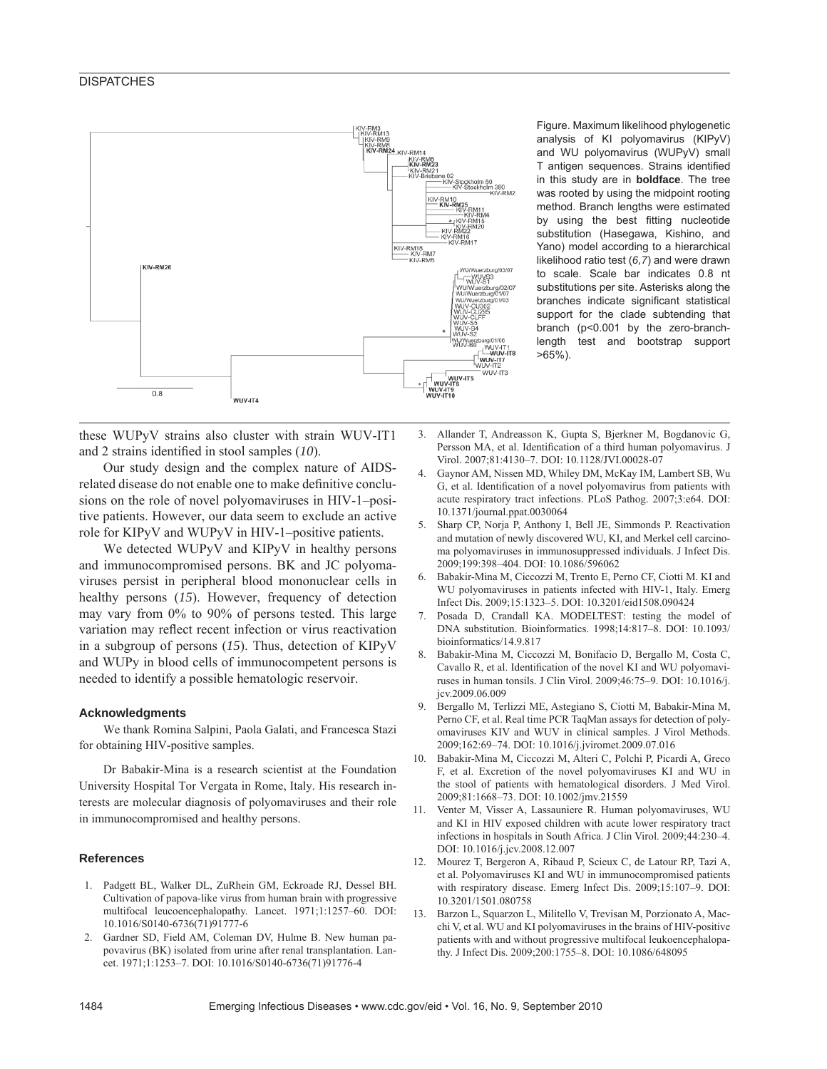## **DISPATCHES**



Figure. Maximum likelihood phylogenetic analysis of KI polyomavirus (KIPyV) and WU polyomavirus (WUPyV) small T antigen sequences. Strains identified in this study are in **boldface**. The tree was rooted by using the midpoint rooting method. Branch lengths were estimated by using the best fitting nucleotide substitution (Hasegawa, Kishino, and Yano) model according to a hierarchical likelihood ratio test (*6,7*) and were drawn to scale. Scale bar indicates 0.8 nt substitutions per site. Asterisks along the branches indicate significant statistical support for the clade subtending that branch (p<0.001 by the zero-branchlength test and bootstrap support >65%).

these WUPyV strains also cluster with strain WUV-IT1 and 2 strains identified in stool samples (10).

Our study design and the complex nature of AIDSrelated disease do not enable one to make definitive conclusions on the role of novel polyomaviruses in HIV-1–positive patients. However, our data seem to exclude an active role for KIPyV and WUPyV in HIV-1–positive patients.

We detected WUPyV and KIPyV in healthy persons and immunocompromised persons. BK and JC polyomaviruses persist in peripheral blood mononuclear cells in healthy persons (*15*). However, frequency of detection may vary from 0% to 90% of persons tested. This large variation may reflect recent infection or virus reactivation in a subgroup of persons (*15*). Thus, detection of KIPyV and WUPy in blood cells of immunocompetent persons is needed to identify a possible hematologic reservoir.

#### **Acknowledgments**

We thank Romina Salpini, Paola Galati, and Francesca Stazi for obtaining HIV-positive samples.

Dr Babakir-Mina is a research scientist at the Foundation University Hospital Tor Vergata in Rome, Italy. His research interests are molecular diagnosis of polyomaviruses and their role in immunocompromised and healthy persons.

#### **References**

- 1. Padgett BL, Walker DL, ZuRhein GM, Eckroade RJ, Dessel BH. Cultivation of papova-like virus from human brain with progressive multifocal leucoencephalopathy. Lancet. 1971;1:1257–60. DOI: 10.1016/S0140-6736(71)91777-6
- 2. Gardner SD, Field AM, Coleman DV, Hulme B. New human papovavirus (BK) isolated from urine after renal transplantation. Lancet. 1971;1:1253–7. DOI: 10.1016/S0140-6736(71)91776-4
- 3. Allander T, Andreasson K, Gupta S, Bjerkner M, Bogdanovic G, Persson MA, et al. Identification of a third human polyomavirus. J Virol. 2007;81:4130–7. DOI: 10.1128/JVI.00028-07
- 4. Gaynor AM, Nissen MD, Whiley DM, McKay IM, Lambert SB, Wu G, et al. Identification of a novel polyomavirus from patients with acute respiratory tract infections. PLoS Pathog. 2007;3:e64. DOI: 10.1371/journal.ppat.0030064
- 5. Sharp CP, Norja P, Anthony I, Bell JE, Simmonds P. Reactivation and mutation of newly discovered WU, KI, and Merkel cell carcinoma polyomaviruses in immunosuppressed individuals. J Infect Dis. 2009;199:398–404. DOI: 10.1086/596062
- 6. Babakir-Mina M, Ciccozzi M, Trento E, Perno CF, Ciotti M. KI and WU polyomaviruses in patients infected with HIV-1, Italy. Emerg Infect Dis. 2009;15:1323–5. DOI: 10.3201/eid1508.090424
- 7. Posada D, Crandall KA. MODELTEST: testing the model of DNA substitution. Bioinformatics. 1998;14:817–8. DOI: 10.1093/ bioinformatics/14.9.817
- 8. Babakir-Mina M, Ciccozzi M, Bonifacio D, Bergallo M, Costa C, Cavallo R, et al. Identification of the novel KI and WU polyomaviruses in human tonsils. J Clin Virol. 2009;46:75–9. DOI: 10.1016/j. jcv.2009.06.009
- 9. Bergallo M, Terlizzi ME, Astegiano S, Ciotti M, Babakir-Mina M, Perno CF, et al. Real time PCR TaqMan assays for detection of polyomaviruses KIV and WUV in clinical samples. J Virol Methods. 2009;162:69–74. DOI: 10.1016/j.jviromet.2009.07.016
- 10. Babakir-Mina M, Ciccozzi M, Alteri C, Polchi P, Picardi A, Greco F, et al. Excretion of the novel polyomaviruses KI and WU in the stool of patients with hematological disorders. J Med Virol. 2009;81:1668–73. DOI: 10.1002/jmv.21559
- 11. Venter M, Visser A, Lassauniere R. Human polyomaviruses, WU and KI in HIV exposed children with acute lower respiratory tract infections in hospitals in South Africa. J Clin Virol. 2009;44:230–4. DOI: 10.1016/j.jcv.2008.12.007
- 12. Mourez T, Bergeron A, Ribaud P, Scieux C, de Latour RP, Tazi A, et al. Polyomaviruses KI and WU in immunocompromised patients with respiratory disease. Emerg Infect Dis. 2009;15:107–9. DOI: 10.3201/1501.080758
- 13. Barzon L, Squarzon L, Militello V, Trevisan M, Porzionato A, Macchi V, et al. WU and KI polyomaviruses in the brains of HIV-positive patients with and without progressive multifocal leukoencephalopathy. J Infect Dis. 2009;200:1755–8. DOI: 10.1086/648095